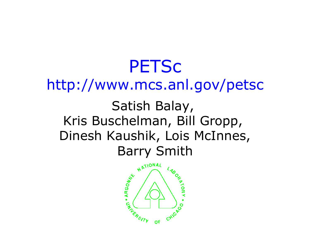### **PETSC** http://www.mcs.anl.gov/petsc Satish Balay, Kris Buschelman, Bill Gropp, Dinesh Kaushik, Lois McInnes, Barry Smith

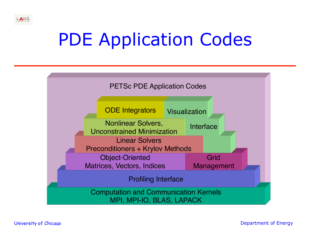# PDE Application Codes



ANS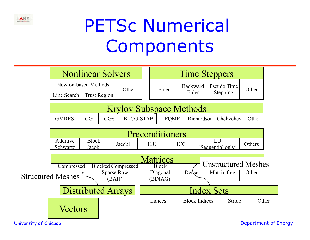

# PETSc Numerical **Components**

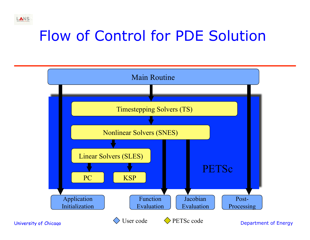### Flow of Control for PDE Solution



LANS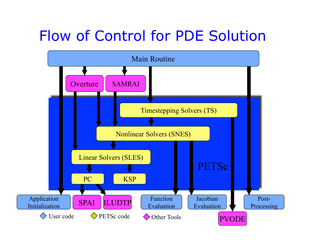#### Flow of Control for PDE Solution

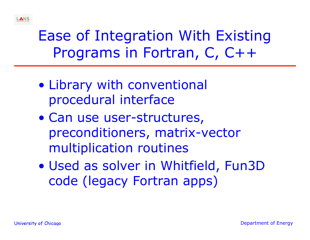### Ease of Integration With Existing Programs in Fortran, C, C++

- Library with conventional procedural interface
- Can use user-structures, preconditioners, matrix-vector multiplication routines
- Used as solver in Whitfield, Fun3D code (legacy Fortran apps)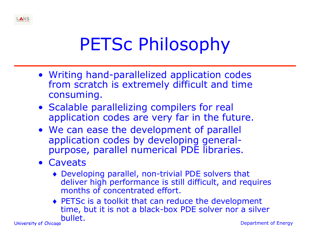

# PETSc Philosophy

- Writing hand-parallelized application codes from scratch is extremely difficult and time consuming.
- Scalable parallelizing compilers for real application codes are very far in the future.
- We can ease the development of parallel application codes by developing generalpurpose, parallel numerical PDE libraries.
- Caveats
	- ♦ Developing parallel, non-trivial PDE solvers that deliver high performance is still difficult, and requires months of concentrated effort.
- University of Chicago Department of Energy ♦ PETSc is a toolkit that can reduce the development time, but it is not a black-box PDE solver nor a silver bullet.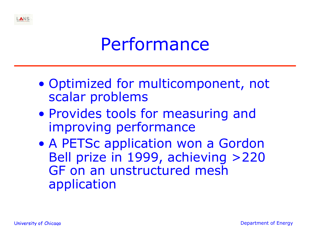### Performance

- Optimized for multicomponent, not scalar problems
- Provides tools for measuring and improving performance
- A PETSc application won a Gordon Bell prize in 1999, achieving >220 GF on an unstructured mesh application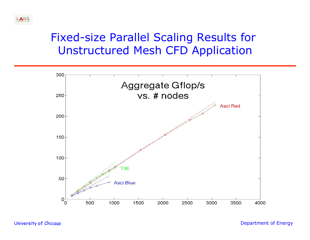



ANS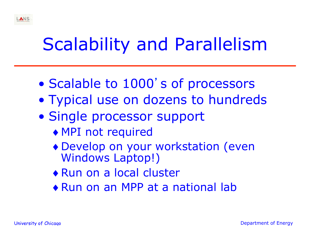## Scalability and Parallelism

- Scalable to 1000's of processors
- Typical use on dozens to hundreds
- Single processor support
	- ♦ MPI not required
	- ♦ Develop on your workstation (even Windows Laptop!)
	- ♦ Run on a local cluster
	- ♦ Run on an MPP at a national lab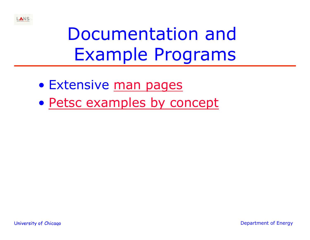

# Documentation and Example Programs

- Extensive man pages
- Petsc examples by concept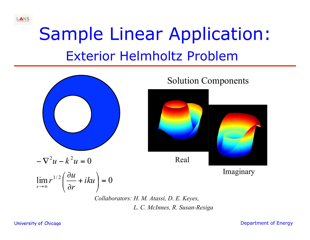# Sample Linear Application: Exterior Helmholtz Problem



*Collaborators: H. M. Atassi, D. E. Keyes, L. C. McInnes, R. Susan-Resiga*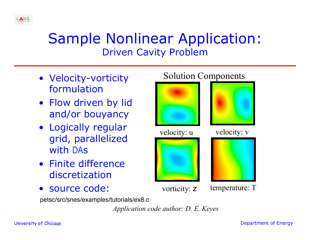#### Sample Nonlinear Application: Driven Cavity Problem

- Velocity-vorticity formulation
- Flow driven by lid and/or bouyancy
- Logically regular grid, parallelized with DAs
- Finite difference discretization
- source code:







vorticity: **z** temperature: T

petsc/src/snes/examples/tutorials/ex8.c

*Application code author: D. E. Keyes*

ANS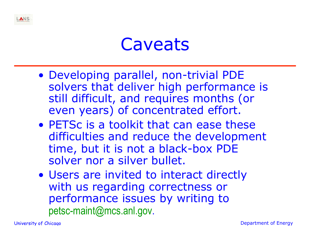

- Developing parallel, non-trivial PDE solvers that deliver high performance is still difficult, and requires months (or even years) of concentrated effort.
- PETSc is a toolkit that can ease these difficulties and reduce the development time, but it is not a black-box PDE solver nor a silver bullet.
- Users are invited to interact directly with us regarding correctness or performance issues by writing to petsc-maint@mcs.anl.gov.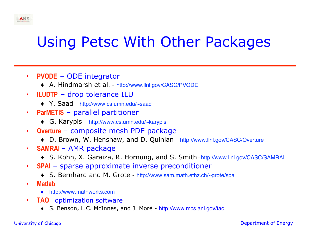#### Using Petsc With Other Packages

- **PVODE** ODE integrator
	- ♦ A. Hindmarsh et al. http://www.llnl.gov/CASC/PVODE
- **ILUDTP** drop tolerance ILU
	- ♦ Y. Saad http://www.cs.umn.edu/~saad
- **ParMETIS** parallel partitioner
	- ♦ G. Karypis http://www.cs.umn.edu/~karypis
- **Overture** composite mesh PDE package
	- ♦ D. Brown, W. Henshaw, and D. Quinlan http://www.llnl.gov/CASC/Overture
- **SAMRAI** AMR package
	- ♦ S. Kohn, X. Garaiza, R. Hornung, and S. Smith http://www.llnl.gov/CASC/SAMRAI
- **SPAI** sparse approximate inverse preconditioner
	- ♦ S. Bernhard and M. Grote http://www.sam.math.ethz.ch/~grote/spai
- **Matlab** 
	- ♦ http://www.mathworks.com
- **TAO** optimization software
	- ♦ S. Benson, L.C. McInnes, and J. Moré http://www.mcs.anl.gov/tao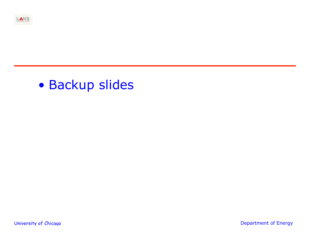

#### • Backup slides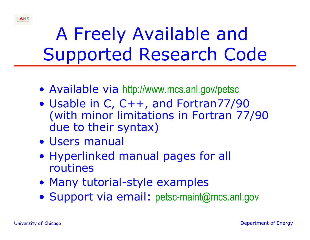

# A Freely Available and Supported Research Code

- Available via http://www.mcs.anl.gov/petsc
- Usable in C, C++, and Fortran77/90 (with minor limitations in Fortran 77/90 due to their syntax)
- Users manual
- Hyperlinked manual pages for all routines
- Many tutorial-style examples
- Support via email: petsc-maint@mcs.anl.gov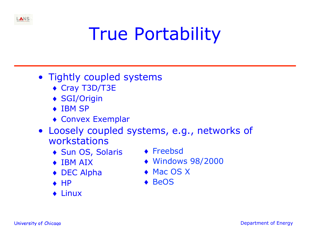

#### • Tightly coupled systems

- ♦ Cray T3D/T3E
- ♦ SGI/Origin
- ◆ IBM SP
- ♦ Convex Exemplar
- Loosely coupled systems, e.g., networks of workstations
	- ♦ Sun OS, Solaris
	- ♦ IBM AIX
	- ♦ DEC Alpha
	- $\leftrightarrow$  HP
	- ♦ Linux
- ♦ Freebsd
- ♦ Windows 98/2000
- ◆ Mac OS X
- ◆ BeOS

LANS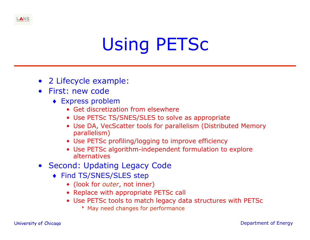# Using PETSc

- 2 Lifecycle example:
- First: new code
	- ♦ Express problem
		- Get discretization from elsewhere
		- Use PETSc TS/SNES/SLES to solve as appropriate
		- Use DA, VecScatter tools for parallelism (Distributed Memory parallelism)
		- Use PETSc profiling/logging to improve efficiency
		- Use PETSc algorithm-independent formulation to explore alternatives
- Second: Updating Legacy Code
	- ♦ Find TS/SNES/SLES step
		- (look for *outer*, not inner)
		- Replace with appropriate PETSc call
		- Use PETSc tools to match legacy data structures with PETSc
			- **May need changes for performance**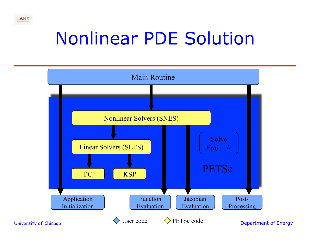## Nonlinear PDE Solution



LANS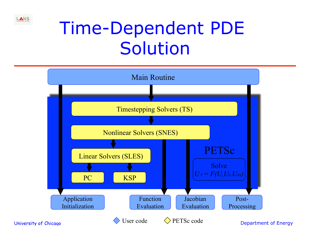

## Time-Dependent PDE Solution

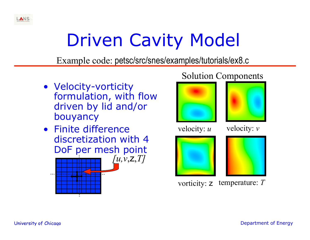

# Driven Cavity Model

Example code: petsc/src/snes/examples/tutorials/ex8.c

- Velocity-vorticity formulation, with flow driven by lid and/or bouyancy
- Finite difference discretization with 4 DoF per mesh point



#### Solution Components





velocity: *u* velocity: *v* 





vorticity: z temperature: *T*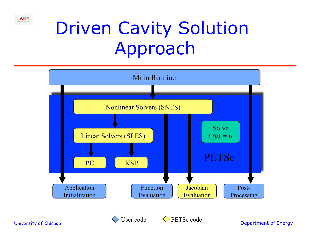

# Driven Cavity Solution Approach





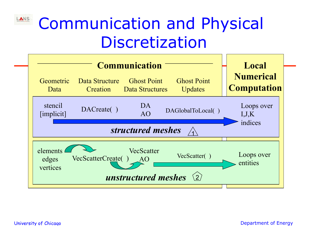#### LANS Communication and Physical Discretization

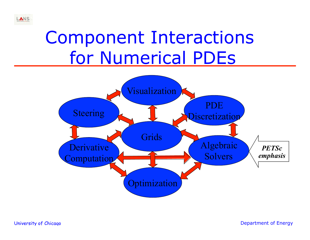### Component Interactions for Numerical PDEs



LANS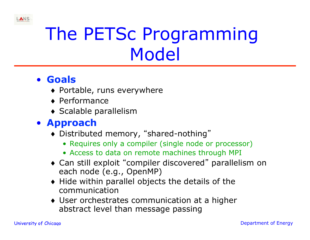

# The PETSc Programming Model

#### • **Goals**

- ♦ Portable, runs everywhere
- ♦ Performance
- ♦ Scalable parallelism

#### • **Approach**

- ♦ Distributed memory, "shared-nothing"
	- Requires only a compiler (single node or processor)
	- Access to data on remote machines through MPI
- ♦ Can still exploit "compiler discovered" parallelism on each node (e.g., OpenMP)
- ♦ Hide within parallel objects the details of the communication
- ♦ User orchestrates communication at a higher abstract level than message passing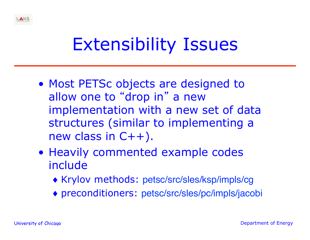

## Extensibility Issues

- Most PETSc objects are designed to allow one to "drop in" a new implementation with a new set of data structures (similar to implementing a new class in C++).
- Heavily commented example codes include
	- ♦ Krylov methods: petsc/src/sles/ksp/impls/cg
	- ♦ preconditioners: petsc/src/sles/pc/impls/jacobi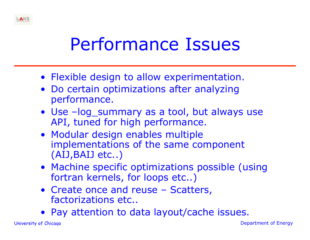## Performance Issues

- Flexible design to allow experimentation.
- Do certain optimizations after analyzing performance.
- Use –log\_summary as a tool, but always use API, tuned for high performance.
- Modular design enables multiple implementations of the same component (AIJ,BAIJ etc..)
- Machine specific optimizations possible (using fortran kernels, for loops etc..)
- Create once and reuse Scatters, factorizations etc..
- Pay attention to data layout/cache issues.